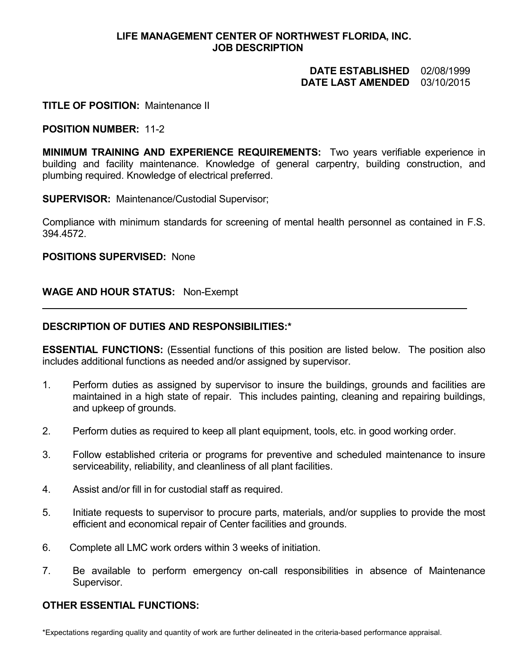# **LIFE MANAGEMENT CENTER OF NORTHWEST FLORIDA, INC. JOB DESCRIPTION**

# **DATE ESTABLISHED** 02/08/1999 **DATE LAST AMENDED** 03/10/2015

# **TITLE OF POSITION:** Maintenance II

## **POSITION NUMBER:** 11-2

**MINIMUM TRAINING AND EXPERIENCE REQUIREMENTS:** Two years verifiable experience in building and facility maintenance. Knowledge of general carpentry, building construction, and plumbing required. Knowledge of electrical preferred.

**SUPERVISOR:** Maintenance/Custodial Supervisor;

Compliance with minimum standards for screening of mental health personnel as contained in F.S. 394.4572.

#### **POSITIONS SUPERVISED:** None

# **WAGE AND HOUR STATUS:** Non-Exempt

## **DESCRIPTION OF DUTIES AND RESPONSIBILITIES:\***

**ESSENTIAL FUNCTIONS:** (Essential functions of this position are listed below. The position also includes additional functions as needed and/or assigned by supervisor.

- 1. Perform duties as assigned by supervisor to insure the buildings, grounds and facilities are maintained in a high state of repair. This includes painting, cleaning and repairing buildings, and upkeep of grounds.
- 2. Perform duties as required to keep all plant equipment, tools, etc. in good working order.
- 3. Follow established criteria or programs for preventive and scheduled maintenance to insure serviceability, reliability, and cleanliness of all plant facilities.
- 4. Assist and/or fill in for custodial staff as required.
- 5. Initiate requests to supervisor to procure parts, materials, and/or supplies to provide the most efficient and economical repair of Center facilities and grounds.
- 6. Complete all LMC work orders within 3 weeks of initiation.
- 7. Be available to perform emergency on-call responsibilities in absence of Maintenance Supervisor.

## **OTHER ESSENTIAL FUNCTIONS:**

\*Expectations regarding quality and quantity of work are further delineated in the criteria-based performance appraisal.